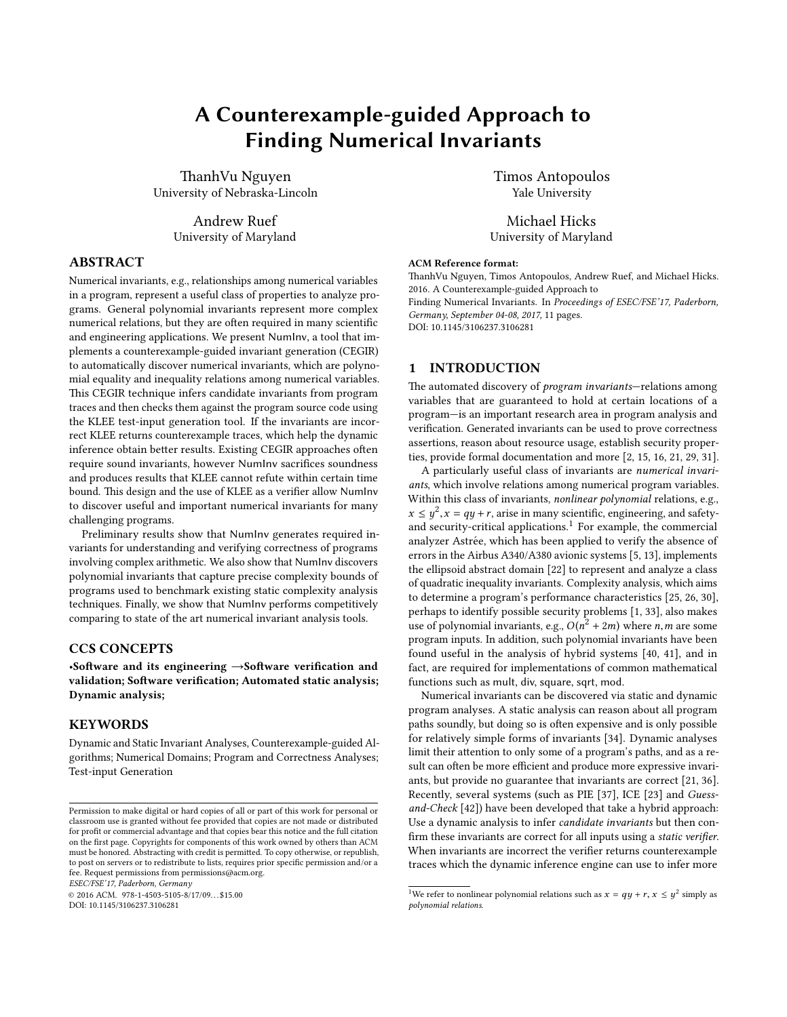# A Counterexample-guided Approach to Finding Numerical Invariants

ThanhVu Nguyen University of Nebraska-Lincoln

> Andrew Ruef University of Maryland

# ABSTRACT

Numerical invariants, e.g., relationships among numerical variables in a program, represent a useful class of properties to analyze programs. General polynomial invariants represent more complex numerical relations, but they are often required in many scientific and engineering applications. We present NumInv, a tool that implements a counterexample-guided invariant generation (CEGIR) to automatically discover numerical invariants, which are polynomial equality and inequality relations among numerical variables. This CEGIR technique infers candidate invariants from program traces and then checks them against the program source code using the KLEE test-input generation tool. If the invariants are incorrect KLEE returns counterexample traces, which help the dynamic inference obtain better results. Existing CEGIR approaches often require sound invariants, however NumInv sacrifices soundness and produces results that KLEE cannot refute within certain time bound. This design and the use of KLEE as a verifier allow NumInv to discover useful and important numerical invariants for many challenging programs.

Preliminary results show that NumInv generates required invariants for understanding and verifying correctness of programs involving complex arithmetic. We also show that NumInv discovers polynomial invariants that capture precise complexity bounds of programs used to benchmark existing static complexity analysis techniques. Finally, we show that NumInv performs competitively comparing to state of the art numerical invariant analysis tools.

# CCS CONCEPTS

•Software and its engineering  $\rightarrow$ Software verification and validation; Software verification; Automated static analysis; Dynamic analysis;

### **KEYWORDS**

Dynamic and Static Invariant Analyses, Counterexample-guided Algorithms; Numerical Domains; Program and Correctness Analyses; Test-input Generation

ESEC/FSE'17, Paderborn, Germany

 $@ 2016$  ACM. 978-1-4503-5105-8/17/09...\$15.00 DOI: 10.1145/3106237.3106281

Timos Antopoulos Yale University

Michael Hicks University of Maryland

#### ACM Reference format:

ThanhVu Nguyen, Timos Antopoulos, Andrew Ruef, and Michael Hicks. 2016. A Counterexample-guided Approach to Finding Numerical Invariants. In Proceedings of ESEC/FSE'17, Paderborn, Germany, September 04-08, 2017, [11](#page-10-0) pages.

DOI: 10.1145/3106237.3106281

# 1 INTRODUCTION

The automated discovery of *program invariants*—relations among variables that are guaranteed to hold at certain locations of a program—is an important research area in program analysis and verification. Generated invariants can be used to prove correctness assertions, reason about resource usage, establish security properties, provide formal documentation and more [\[2,](#page-10-1) [15,](#page-10-2) [16,](#page-10-3) [21,](#page-10-4) [29,](#page-10-5) [31\]](#page-10-6).

A particularly useful class of invariants are numerical invariants, which involve relations among numerical program variables. Within this class of invariants, *nonlinear polynomial* relations, e.g.,  $x \le y^2$ ,  $x = qy + r$ , arise in many scientific, engineering, and safety-<br>and security-critical applications <sup>1</sup> For example, the commercial and security-critical applications.<sup>[1](#page-0-0)</sup> For example, the commercial analyzer Astrée, which has been applied to verify the absence of errors in the Airbus A340/A380 avionic systems [\[5,](#page-10-7) [13\]](#page-10-8), implements the ellipsoid abstract domain [\[22\]](#page-10-9) to represent and analyze a class of quadratic inequality invariants. Complexity analysis, which aims to determine a program's performance characteristics [\[25,](#page-10-10) [26,](#page-10-11) [30\]](#page-10-12), perhaps to identify possible security problems [\[1,](#page-10-13) [33\]](#page-10-14), also makes use of polynomial invariants, e.g.,  $O(n^2 + 2m)$  where *n*, *m* are some program inputs. In addition, such polynomial invariants have been program inputs. In addition, such polynomial invariants have been found useful in the analysis of hybrid systems [\[40,](#page-10-15) [41\]](#page-10-16), and in fact, are required for implementations of common mathematical functions such as mult, div, square, sqrt, mod.

Numerical invariants can be discovered via static and dynamic program analyses. A static analysis can reason about all program paths soundly, but doing so is often expensive and is only possible for relatively simple forms of invariants [\[34\]](#page-10-17). Dynamic analyses limit their attention to only some of a program's paths, and as a result can often be more efficient and produce more expressive invariants, but provide no guarantee that invariants are correct [\[21,](#page-10-4) [36\]](#page-10-18). Recently, several systems (such as PIE [\[37\]](#page-10-19), ICE [\[23\]](#page-10-20) and Guessand-Check [\[42\]](#page-10-21)) have been developed that take a hybrid approach: Use a dynamic analysis to infer candidate invariants but then con firm these invariants are correct for all inputs using a *static verifier*. When invariants are incorrect the verifier returns counterexample traces which the dynamic inference engine can use to infer more

Permission to make digital or hard copies of all or part of this work for personal or classroom use is granted without fee provided that copies are not made or distributed for profit or commercial advantage and that copies bear this notice and the full citation on the first page. Copyrights for components of this work owned by others than ACM  ${\rm must}$  be honored. Abstracting with credit is permitted. To copy otherwise, or republish, to post on servers or to redistribute to lists, requires prior specific permission and/or a fee. Request permissions from permissions@acm.org.

<span id="page-0-0"></span><sup>&</sup>lt;sup>1</sup>We refer to nonlinear polynomial relations such as  $x = qy + r$ ,  $x \le y^2$  simply as not proposed relations polynomial relations.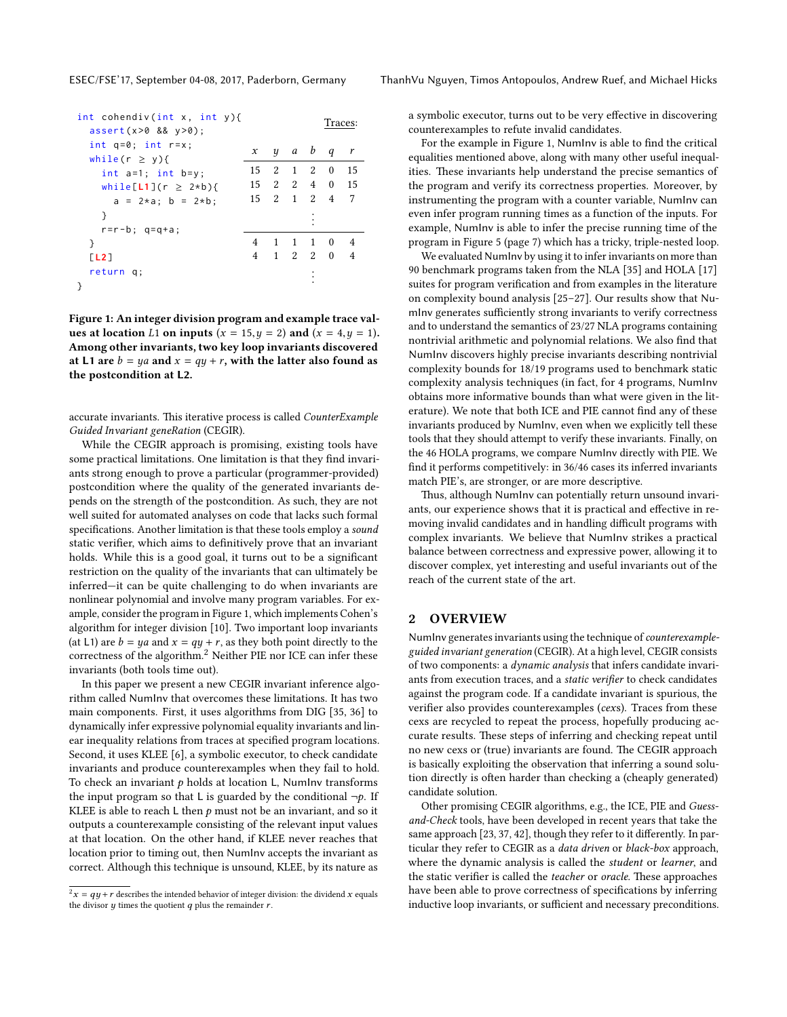<span id="page-1-0"></span>

| int cohendiv(int x, int y){<br>$assert(x>0 88 y>0)$ ; |    |                                      |                             |     | Traces:        |              |
|-------------------------------------------------------|----|--------------------------------------|-----------------------------|-----|----------------|--------------|
| int $q=0$ ; int $r=x$ ;<br>while(r $\geq$ y){         | x  |                                      | $y$ a $b$ q                 |     |                | $\mathbf{r}$ |
| int $a=1$ ; int $b=y$ ;                               | 15 | -2                                   | $\overline{1}$              | 2   | $\overline{0}$ | 15           |
| while $[L1](r \geq 2*b)$ {                            |    |                                      |                             |     | 15 2 2 4 0 15  |              |
| $a = 2*a; b = 2*b;$                                   |    | $15 \quad 2 \quad 1 \quad 2 \quad 4$ |                             |     |                | 7            |
| ł                                                     |    |                                      |                             |     |                |              |
| $r=r-b$ ; $q=q+a$ ;                                   |    |                                      |                             |     |                |              |
| ł                                                     | 4  | 1                                    | $\mathbf{1}$                | 1 0 |                | -4           |
| [L2]                                                  | 4  |                                      | $1 \quad 2 \quad 2 \quad 0$ |     |                | 4            |
| return q;                                             |    |                                      |                             |     |                |              |
|                                                       |    |                                      |                             |     |                |              |

Figure 1: An integer division program and example trace values at location L1 on inputs  $(x = 15, y = 2)$  and  $(x = 4, y = 1)$ . Among other invariants, two key loop invariants discovered at L1 are  $b = ya$  and  $x = qy + r$ , with the latter also found as the postcondition at L2.

accurate invariants. This iterative process is called CounterExample Guided Invariant geneRation (CEGIR).

While the CEGIR approach is promising, existing tools have some practical limitations. One limitation is that they find invariants strong enough to prove a particular (programmer-provided) postcondition where the quality of the generated invariants depends on the strength of the postcondition. As such, they are not well suited for automated analyses on code that lacks such formal specifications. Another limitation is that these tools employ a sound static verifier, which aims to definitively prove that an invariant holds. While this is a good goal, it turns out to be a significant restriction on the quality of the invariants that can ultimately be inferred—it can be quite challenging to do when invariants are nonlinear polynomial and involve many program variables. For example, consider the program in Figure [1,](#page-1-0) which implements Cohen's algorithm for integer division [\[10\]](#page-10-22). Two important loop invariants (at L1) are  $b = ya$  and  $x = qy + r$ , as they both point directly to the correctness of the algorithm.[2](#page-1-1) Neither PIE nor ICE can infer these invariants (both tools time out).

In this paper we present a new CEGIR invariant inference algorithm called NumInv that overcomes these limitations. It has two main components. First, it uses algorithms from DIG [\[35,](#page-10-23) [36\]](#page-10-18) to dynamically infer expressive polynomial equality invariants and linear inequality relations from traces at specified program locations. Second, it uses KLEE [\[6\]](#page-10-24), a symbolic executor, to check candidate invariants and produce counterexamples when they fail to hold. To check an invariant  $p$  holds at location L, NumInv transforms the input program so that L is guarded by the conditional  $\neg p$ . If KLEE is able to reach  $L$  then  $p$  must not be an invariant, and so it outputs a counterexample consisting of the relevant input values at that location. On the other hand, if KLEE never reaches that location prior to timing out, then NumInv accepts the invariant as correct. Although this technique is unsound, KLEE, by its nature as

a symbolic executor, turns out to be very effective in discovering counterexamples to refute invalid candidates.

For the example in Figure [1,](#page-1-0) NumInv is able to find the critical equalities mentioned above, along with many other useful inequalities. These invariants help understand the precise semantics of the program and verify its correctness properties. Moreover, by instrumenting the program with a counter variable, NumInv can even infer program running times as a function of the inputs. For example, NumInv is able to infer the precise running time of the program in Figure [5](#page-6-0) (page [7\)](#page-6-0) which has a tricky, triple-nested loop.

We evaluated NumInv by using it to infer invariants on more than 90 benchmark programs taken from the NLA [\[35\]](#page-10-23) and HOLA [\[17\]](#page-10-25) suites for program verification and from examples in the literature on complexity bound analysis [\[25–](#page-10-10)[27\]](#page-10-26). Our results show that NumInv generates sufficiently strong invariants to verify correctness and to understand the semantics of 23/27 NLA programs containing nontrivial arithmetic and polynomial relations. We also find that NumInv discovers highly precise invariants describing nontrivial complexity bounds for 18/19 programs used to benchmark static complexity analysis techniques (in fact, for 4 programs, NumInv obtains more informative bounds than what were given in the literature). We note that both ICE and PIE cannot find any of these invariants produced by NumInv, even when we explicitly tell these tools that they should attempt to verify these invariants. Finally, on the 46 HOLA programs, we compare NumInv directly with PIE. We find it performs competitively: in 36/46 cases its inferred invariants match PIE's, are stronger, or are more descriptive.

Thus, although NumInv can potentially return unsound invariants, our experience shows that it is practical and effective in removing invalid candidates and in handling difficult programs with complex invariants. We believe that NumInv strikes a practical balance between correctness and expressive power, allowing it to discover complex, yet interesting and useful invariants out of the reach of the current state of the art.

# 2 OVERVIEW

NumInv generates invariants using the technique of counterexampleguided invariant generation (CEGIR). At a high level, CEGIR consists of two components: a dynamic analysis that infers candidate invariants from execution traces, and a static verifier to check candidates against the program code. If a candidate invariant is spurious, the verifier also provides counterexamples (cexs). Traces from these cexs are recycled to repeat the process, hopefully producing accurate results. These steps of inferring and checking repeat until no new cexs or (true) invariants are found. The CEGIR approach is basically exploiting the observation that inferring a sound solution directly is often harder than checking a (cheaply generated) candidate solution.

Other promising CEGIR algorithms, e.g., the ICE, PIE and Guessand-Check tools, have been developed in recent years that take the same approach [\[23,](#page-10-20) [37,](#page-10-19) [42\]](#page-10-21), though they refer to it differently. In particular they refer to CEGIR as a data driven or black-box approach, where the dynamic analysis is called the student or learner, and the static verifier is called the teacher or oracle. These approaches have been able to prove correctness of specifications by inferring inductive loop invariants, or sufficient and necessary preconditions.

<span id="page-1-1"></span> $2x = qy + r$  describes the intended behavior of integer division: the dividend x equals the divisor u times the quotient a plus the remainder r the divisor  $y$  times the quotient  $q$  plus the remainder  $r$ .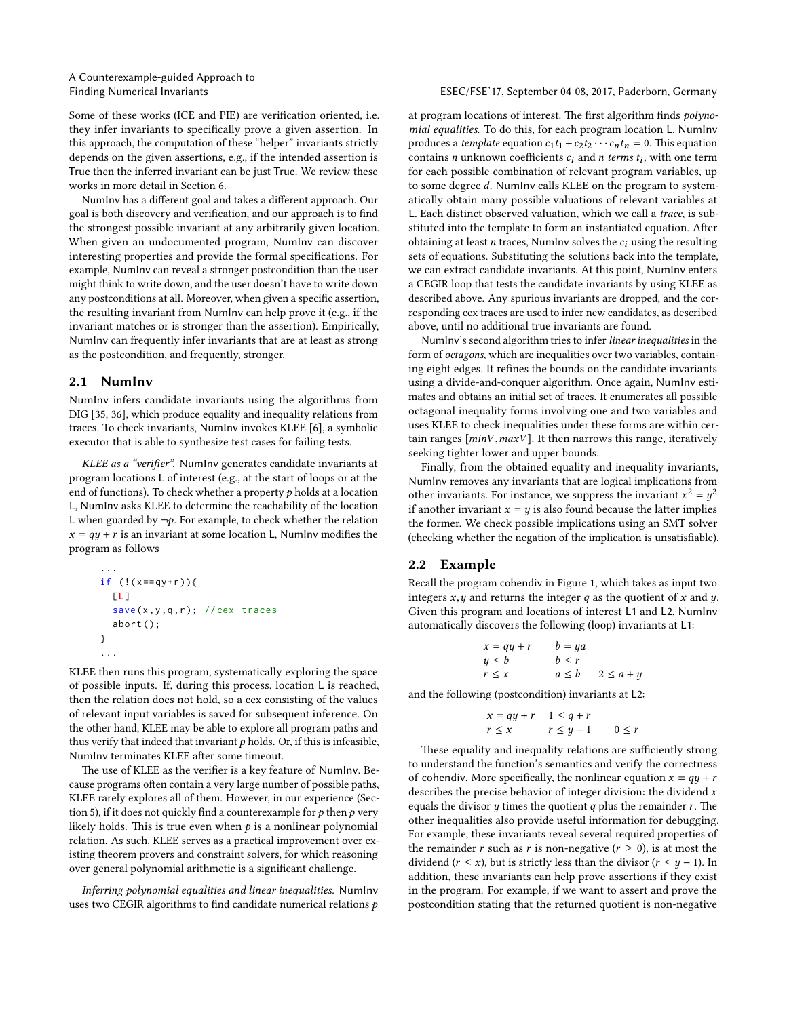#### Finding Numerical Invariants ESEC/FSE'17, September 04-08, 2017, Paderborn, Germany

Some of these works (ICE and PIE) are verification oriented, i.e. they infer invariants to specifically prove a given assertion. In this approach, the computation of these "helper" invariants strictly depends on the given assertions, e.g., if the intended assertion is True then the inferred invariant can be just True. We review these works in more detail in Section [6.](#page-9-0)

NumInv has a different goal and takes a different approach. Our goal is both discovery and verification, and our approach is to find the strongest possible invariant at any arbitrarily given location. When given an undocumented program, NumInv can discover interesting properties and provide the formal specifications. For example, NumInv can reveal a stronger postcondition than the user might think to write down, and the user doesn't have to write down any postconditions at all. Moreover, when given a specific assertion, the resulting invariant from NumInv can help prove it (e.g., if the invariant matches or is stronger than the assertion). Empirically, NumInv can frequently infer invariants that are at least as strong as the postcondition, and frequently, stronger.

#### 2.1 NumInv

NumInv infers candidate invariants using the algorithms from DIG [\[35,](#page-10-23) [36\]](#page-10-18), which produce equality and inequality relations from traces. To check invariants, NumInv invokes KLEE [\[6\]](#page-10-24), a symbolic executor that is able to synthesize test cases for failing tests.

KLEE as a "verifier". NumInv generates candidate invariants at program locations L of interest (e.g., at the start of loops or at the end of functions). To check whether a property  $p$  holds at a location L, NumInv asks KLEE to determine the reachability of the location L when guarded by  $\neg p$ . For example, to check whether the relation  $x = qy + r$  is an invariant at some location L, NumInv modifies the program as follows

... if (!( x == qy + r )){ [L] save (x ,y ,q , r ); // cex traces abort (); } ...

KLEE then runs this program, systematically exploring the space of possible inputs. If, during this process, location L is reached, then the relation does not hold, so a cex consisting of the values of relevant input variables is saved for subsequent inference. On the other hand, KLEE may be able to explore all program paths and thus verify that indeed that invariant  $p$  holds. Or, if this is infeasible, NumInv terminates KLEE after some timeout.

The use of KLEE as the verifier is a key feature of NumInv. Because programs often contain a very large number of possible paths, KLEE rarely explores all of them. However, in our experience (Sec-tion [5\)](#page-5-0), if it does not quickly find a counterexample for  $p$  then  $p$  very likely holds. This is true even when  $p$  is a nonlinear polynomial relation. As such, KLEE serves as a practical improvement over existing theorem provers and constraint solvers, for which reasoning over general polynomial arithmetic is a significant challenge.

Inferring polynomial equalities and linear inequalities. NumInv uses two CEGIR algorithms to find candidate numerical relations  $p$  at program locations of interest. The first algorithm finds *polyno*mial equalities. To do this, for each program location L, NumInv produces a *template* equation  $c_1t_1 + c_2t_2 \cdots c_nt_n = 0$ . This equation contains *n* unknown coefficients  $c_i$  and *n* terms  $t_i$ , with one term<br>for each possible combination of relevant program variables, up for each possible combination of relevant program variables, up to some degree d. NumInv calls KLEE on the program to systematically obtain many possible valuations of relevant variables at L. Each distinct observed valuation, which we call a trace, is substituted into the template to form an instantiated equation. After obtaining at least  $n$  traces, NumInv solves the  $c_i$  using the resulting sets of equations. Substituting the solutions back into the template, we can extract candidate invariants. At this point, NumInv enters a CEGIR loop that tests the candidate invariants by using KLEE as described above. Any spurious invariants are dropped, and the corresponding cex traces are used to infer new candidates, as described above, until no additional true invariants are found.

NumInv's second algorithm tries to infer linear inequalities in the form of octagons, which are inequalities over two variables, containing eight edges. It refines the bounds on the candidate invariants using a divide-and-conquer algorithm. Once again, NumInv estimates and obtains an initial set of traces. It enumerates all possible octagonal inequality forms involving one and two variables and uses KLEE to check inequalities under these forms are within certain ranges  $[minV, maxV]$ . It then narrows this range, iteratively seeking tighter lower and upper bounds.

Finally, from the obtained equality and inequality invariants, NumInv removes any invariants that are logical implications from other invariants. For instance, we suppress the invariant  $x = u$  is also found because the latter in  $x^2 = y^2$ <br>mplies if another invariant  $x = y$  is also found because the latter implies<br>the former. We check possible implications using an SMT solver the former. We check possible implications using an SMT solver (checking whether the negation of the implication is unsatisfiable).

### 2.2 Example

Recall the program cohendiv in Figure [1,](#page-1-0) which takes as input two integers  $x, y$  and returns the integer q as the quotient of x and y. Given this program and locations of interest L1 and L2, NumInv automatically discovers the following (loop) invariants at L1:

$$
x = qy + r \t b = ya
$$
  
\n
$$
y \le b \t b \le r
$$
  
\n
$$
r \le x \t a \le b \t 2 \le a + y
$$

and the following (postcondition) invariants at L2:

$$
x = qy + r \quad 1 \le q + r
$$
  

$$
r \le x \qquad r \le y - 1 \qquad 0 \le r
$$

These equality and inequality relations are sufficiently strong to understand the function's semantics and verify the correctness of cohendiv. More specifically, the nonlinear equation  $x = qy + r$ describes the precise behavior of integer division: the dividend  $x$ equals the divisor  $y$  times the quotient  $q$  plus the remainder  $r$ . The other inequalities also provide useful information for debugging. For example, these invariants reveal several required properties of the remainder r such as r is non-negative ( $r \ge 0$ ), is at most the dividend ( $r \leq x$ ), but is strictly less than the divisor ( $r \leq y - 1$ ). In addition, these invariants can help prove assertions if they exist in the program. For example, if we want to assert and prove the postcondition stating that the returned quotient is non-negative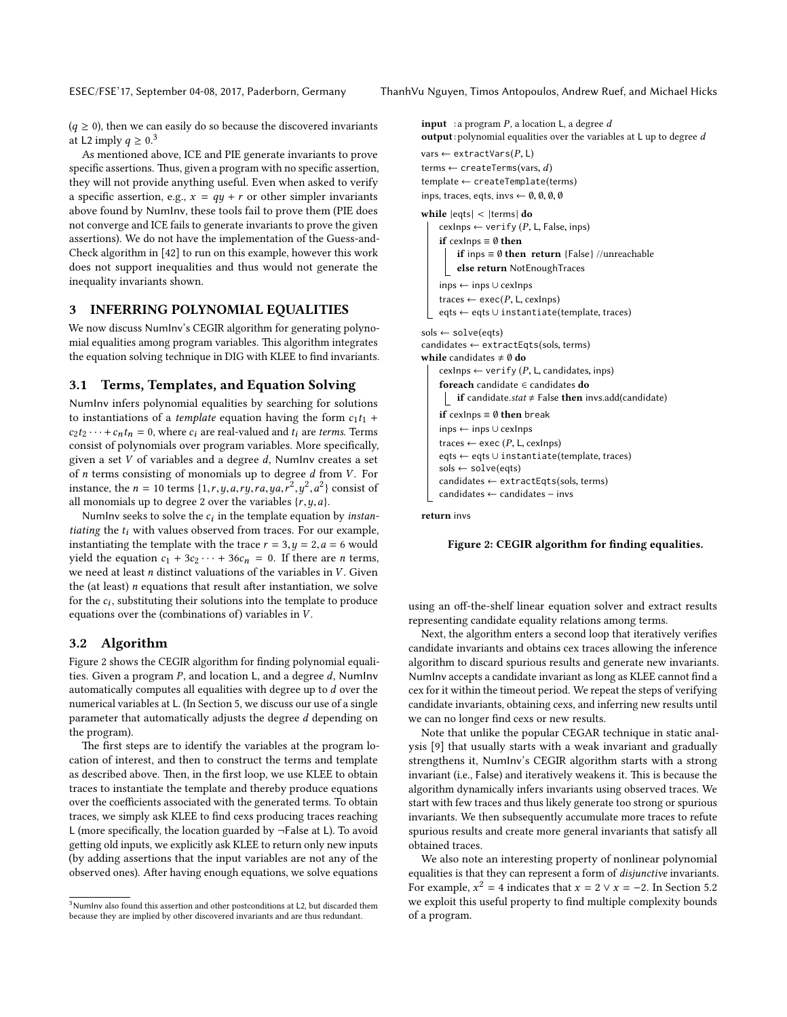$(q \ge 0)$ , then we can easily do so because the discovered invariants at L2 imply  $q \geq 0.3$  $q \geq 0.3$ 

As mentioned above, ICE and PIE generate invariants to prove specific assertions. Thus, given a program with no specific assertion, they will not provide anything useful. Even when asked to verify a specific assertion, e.g.,  $x = qy + r$  or other simpler invariants above found by NumInv, these tools fail to prove them (PIE does not converge and ICE fails to generate invariants to prove the given assertions). We do not have the implementation of the Guess-and-Check algorithm in [\[42\]](#page-10-21) to run on this example, however this work does not support inequalities and thus would not generate the inequality invariants shown.

# 3 INFERRING POLYNOMIAL EQUALITIES

We now discuss NumInv's CEGIR algorithm for generating polynomial equalities among program variables. This algorithm integrates the equation solving technique in DIG with KLEE to find invariants.

#### 3.1 Terms, Templates, and Equation Solving

NumInv infers polynomial equalities by searching for solutions to instantiations of a *template* equation having the form  $c_1t_1$  +  $c_2t_2 \cdots + c_nt_n = 0$ , where  $c_i$  are real-valued and  $t_i$  are terms. Terms consist of polynomials over program variables. More specifically, given a set  $V$  of variables and a degree  $d$ , NumInv creates a set of  $n$  terms consisting of monomials up to degree  $d$  from  $V$ . For instance, the  $n = 10$  terms  $\{1, r, y, a, ry, ra, ya, r^2, y^2, a^2\}$  consist of all monomials up to degree 2 over the variables  $\{r, u, a\}$ all monomials up to degree 2 over the variables  $\{r, y, a\}$ .<br>Number seeks to solve the c: in the template equation

NumInv seeks to solve the  $c_i$  in the template equation by *instanting* the template observed from traces. For our example tiating the  $t_i$  with values observed from traces. For our example, instantiating the template with the trace  $r = 3, y = 2, a = 6$  would yield the equation  $c_1 + 3c_2 \cdots + 36c_n = 0$ . If there are *n* terms, we need at least  $n$  distinct valuations of the variables in  $V$ . Given the (at least)  $n$  equations that result after instantiation, we solve for the  $c_i$ , substituting their solutions into the template to produce<br>equations over the (combinations of) variables in  $V$ equations over the (combinations of) variables in V .

#### 3.2 Algorithm

Figure [2](#page-3-1) shows the CEGIR algorithm for finding polynomial equalities. Given a program  $P$ , and location L, and a degree  $d$ , NumInv automatically computes all equalities with degree up to d over the numerical variables at L. (In Section [5,](#page-5-0) we discuss our use of a single parameter that automatically adjusts the degree d depending on the program).

The first steps are to identify the variables at the program location of interest, and then to construct the terms and template as described above. Then, in the first loop, we use KLEE to obtain traces to instantiate the template and thereby produce equations over the coefficients associated with the generated terms. To obtain traces, we simply ask KLEE to find cexs producing traces reaching L (more specifically, the location guarded by  $\neg$ False at L). To avoid getting old inputs, we explicitly ask KLEE to return only new inputs (by adding assertions that the input variables are not any of the observed ones). After having enough equations, we solve equations

<span id="page-3-1"></span>**input** : a program  $P$ , a location  $L$ , a degree  $d$ output: polynomial equalities over the variables at <sup>L</sup> up to degree d

```
vars \leftarrow extractVars(P, L)
terms \leftarrow createTerms(vars, d)
template ← createTemplate(terms)
inps, traces, eqts, invs \leftarrow \emptyset, \emptyset, \emptyset, \emptysetwhile |eqts| < |terms| do
    cexInps \leftarrow verify (P, L, False, inps)
    if cexInps \equiv \emptyset then
         if inps \equiv \emptyset then return {False} //unreachable
         else return NotEnoughTraces
    inps ← inps ∪ cexInps
    traces \leftarrow exec(P, L, cexInps)
    eqts ← eqts ∪ instantiate(template, traces)
sols ← solve(eqts)
candidates ← extractEqts(sols, terms)
while candidates \neq \emptyset do
    cexlnps ← verify (P, L, candidates, inps)
    foreach candidate ∈ candidates do
     if candidate.stat \neq False then invs.add(candidate)
    if cexInps \equiv 0 then break
    inps ← inps ∪ cexInps
    traces \leftarrow exec (P, L, cexinps)
    eqts ← eqts ∪ instantiate(template, traces)
    sols ← solve(eqts)
    candidates ← extractEqts(sols, terms)
    candidates ← candidates − invs
```
return invs

#### Figure 2: CEGIR algorithm for finding equalities.

using an off-the-shelf linear equation solver and extract results representing candidate equality relations among terms.

Next, the algorithm enters a second loop that iteratively verifies candidate invariants and obtains cex traces allowing the inference algorithm to discard spurious results and generate new invariants. NumInv accepts a candidate invariant as long as KLEE cannot find a cex for it within the timeout period. We repeat the steps of verifying candidate invariants, obtaining cexs, and inferring new results until we can no longer find cexs or new results.

Note that unlike the popular CEGAR technique in static analysis [\[9\]](#page-10-27) that usually starts with a weak invariant and gradually strengthens it, NumInv's CEGIR algorithm starts with a strong invariant (i.e., False) and iteratively weakens it. This is because the algorithm dynamically infers invariants using observed traces. We start with few traces and thus likely generate too strong or spurious invariants. We then subsequently accumulate more traces to refute spurious results and create more general invariants that satisfy all obtained traces.

We also note an interesting property of nonlinear polynomial equalities is that they can represent a form of disjunctive invariants. For example,  $x^2 = 4$  indicates that  $x = 2 \vee x = -2$ . In Section [5.2](#page-6-1) we exploit this useful property to find multiple complexity bounds of a program.

<span id="page-3-0"></span><sup>&</sup>lt;sup>3</sup>NumInv also found this assertion and other postconditions at L2, but discarded them because they are implied by other discovered invariants and are thus redundant.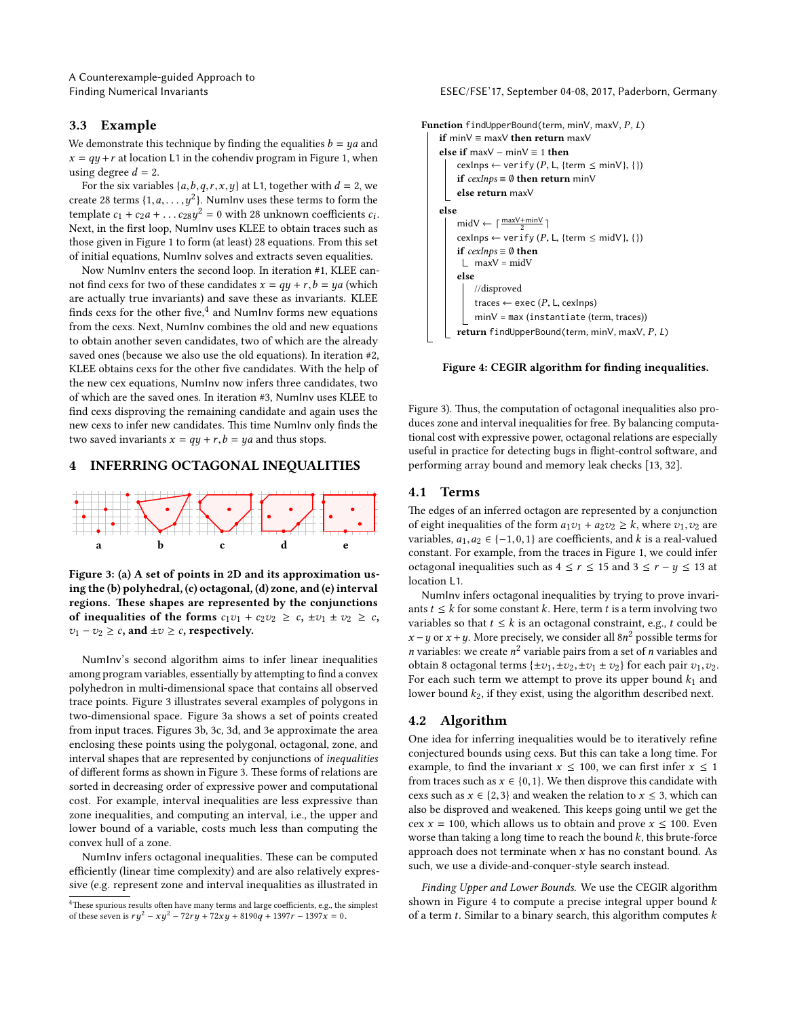# 3.3 Example

We demonstrate this technique by finding the equalities  $b = ya$  and  $x = qy + r$  at location L1 in the cohendiv program in Figure [1,](#page-1-0) when using degree  $d = 2$ .

For the six variables  $\{a,b,q,r,x,y\}$  at L1, together with  $d = 2$ , we create 28 terms  $\{1, a, \ldots, y^2\}$ . NumInv uses these terms to form the<br>term late  $c_1 + c_2 a_1 + \ldots + c_{\Omega} y^2 = 0$  with 28 unknown coefficients  $c_1$ template  $c_1 + c_2a + ... c_{28}y^2 = 0$  with 28 unknown coefficients  $c_i$ .<br>Next, in the first loop, Number uses KLEE to obtain traces such as Next, in the first loop, NumInv uses KLEE to obtain traces such as those given in Figure [1](#page-1-0) to form (at least) 28 equations. From this set of initial equations, NumInv solves and extracts seven equalities.

Now NumInv enters the second loop. In iteration #1, KLEE cannot find cexs for two of these candidates  $x = qy + r, b = ya$  (which are actually true invariants) and save these as invariants. KLEE finds cexs for the other five, $^4$  $^4$  and NumInv forms new equations from the cexs. Next, NumInv combines the old and new equations to obtain another seven candidates, two of which are the already saved ones (because we also use the old equations). In iteration #2, KLEE obtains cexs for the other five candidates. With the help of the new cex equations, NumInv now infers three candidates, two of which are the saved ones. In iteration #3, NumInv uses KLEE to find cexs disproving the remaining candidate and again uses the new cexs to infer new candidates. This time NumInv only finds the two saved invariants  $x = qy + r$ ,  $b = ya$  and thus stops.

# 4 INFERRING OCTAGONAL INEQUALITIES

<span id="page-4-1"></span>

Figure 3: (a) A set of points in 2D and its approximation using the (b) polyhedral, (c) octagonal, (d) zone, and (e) interval regions. These shapes are represented by the conjunctions of inequalities of the forms  $c_1v_1 + c_2v_2 \ge c$ ,  $\pm v_1 \pm v_2 \ge c$ ,  $v_1 - v_2 \geq c$ , and  $\pm v \geq c$ , respectively.

NumInv's second algorithm aims to infer linear inequalities among program variables, essentially by attempting to find a convex polyhedron in multi-dimensional space that contains all observed trace points. Figure [3](#page-4-1) illustrates several examples of polygons in two-dimensional space. Figure [3a](#page-4-1) shows a set of points created from input traces. Figures [3b](#page-4-1), [3c](#page-4-1), [3d](#page-4-1), and [3e](#page-4-1) approximate the area enclosing these points using the polygonal, octagonal, zone, and interval shapes that are represented by conjunctions of inequalities of different forms as shown in Figure [3.](#page-4-1) These forms of relations are sorted in decreasing order of expressive power and computational cost. For example, interval inequalities are less expressive than zone inequalities, and computing an interval, i.e., the upper and lower bound of a variable, costs much less than computing the convex hull of a zone.

NumInv infers octagonal inequalities. These can be computed efficiently (linear time complexity) and are also relatively expressive (e.g. represent zone and interval inequalities as illustrated in

Finding Numerical Invariants ESEC/FSE'17, September 04-08, 2017, Paderborn, Germany

```
Function findUpperBound(term, minV, maxV, P, L)
    if minV ≡ maxV then return maxV
    else if maxV - minV \equiv 1 then
         cexInps \leftarrow verify (P, L, {term \leq minV}, {})
         if cexInps ≡ Ø then return minV
         else return maxV
    else
         midV \leftarrow \lceil \frac{maxV + minV}{2} \rceilcexInps \leftarrow verify (P, L, {term \leq midV}, {})
         if cexInps \equiv \emptyset then
          \Box maxV = midVelse
              //disproved
              traces \leftarrow exec (P, L, cexInps)
              minV = max (instantiate (term, traces))
         return findUpperBound(term, minV, maxV, P, L)
```
Figure 4: CEGIR algorithm for finding inequalities.

Figure [3\)](#page-4-1). Thus, the computation of octagonal inequalities also produces zone and interval inequalities for free. By balancing computational cost with expressive power, octagonal relations are especially useful in practice for detecting bugs in flight-control software, and performing array bound and memory leak checks [\[13,](#page-10-8) [32\]](#page-10-28).

#### 4.1 Terms

The edges of an inferred octagon are represented by a conjunction of eight inequalities of the form  $a_1v_1 + a_2v_2 \ge k$ , where  $v_1, v_2$  are variables,  $a_1, a_2 \in \{-1, 0, 1\}$  are coefficients, and k is a real-valued constant. For example, from the traces in Figure [1,](#page-1-0) we could infer octagonal inequalities such as  $4 \le r \le 15$  and  $3 \le r - y \le 13$  at location L1.

NumInv infers octagonal inequalities by trying to prove invariants  $t \leq k$  for some constant k. Here, term t is a term involving two variables so that  $t \leq k$  is an octagonal constraint, e.g., t could be  $x - y$  or  $x + y$ . More precisely, we consider all  $8n^2$  possible terms for n variables and *n* variables: we create  $n^2$  variable pairs from a set of *n* variables and obtain 8 octograph terms  $l+2v_1+2v_2+2v_3+2v_4$  for each pair  $2v_1$ ,  $2v_2$ obtain 8 octagonal terms { $\pm v_1, \pm v_2, \pm v_1 \pm v_2$ } for each pair  $v_1, v_2$ . For each such term we attempt to prove its upper bound  $k_1$  and lower bound  $k_2$ , if they exist, using the algorithm described next.

# <span id="page-4-3"></span>4.2 Algorithm

One idea for inferring inequalities would be to iteratively refine conjectured bounds using cexs. But this can take a long time. For example, to find the invariant  $x \le 100$ , we can first infer  $x \le 1$ from traces such as  $x \in \{0,1\}$ . We then disprove this candidate with cexs such as  $x \in \{2,3\}$  and weaken the relation to  $x \leq 3$ , which can also be disproved and weakened. This keeps going until we get the cex  $x = 100$ , which allows us to obtain and prove  $x \le 100$ . Even worse than taking a long time to reach the bound  $k$ , this brute-force approach does not terminate when  $x$  has no constant bound. As such, we use a divide-and-conquer-style search instead.

Finding Upper and Lower Bounds. We use the CEGIR algorithm shown in Figure [4](#page-4-2) to compute a precise integral upper bound  $k$ of a term  $t$ . Similar to a binary search, this algorithm computes  $k$ 

<span id="page-4-0"></span><sup>&</sup>lt;sup>4</sup>These spurious results often have many terms and large coefficients, e.g., the simplest of these seven is  $ry^2 - xy^2 - 72ry + 72xy + 8190q + 1397r - 1397x = 0$ .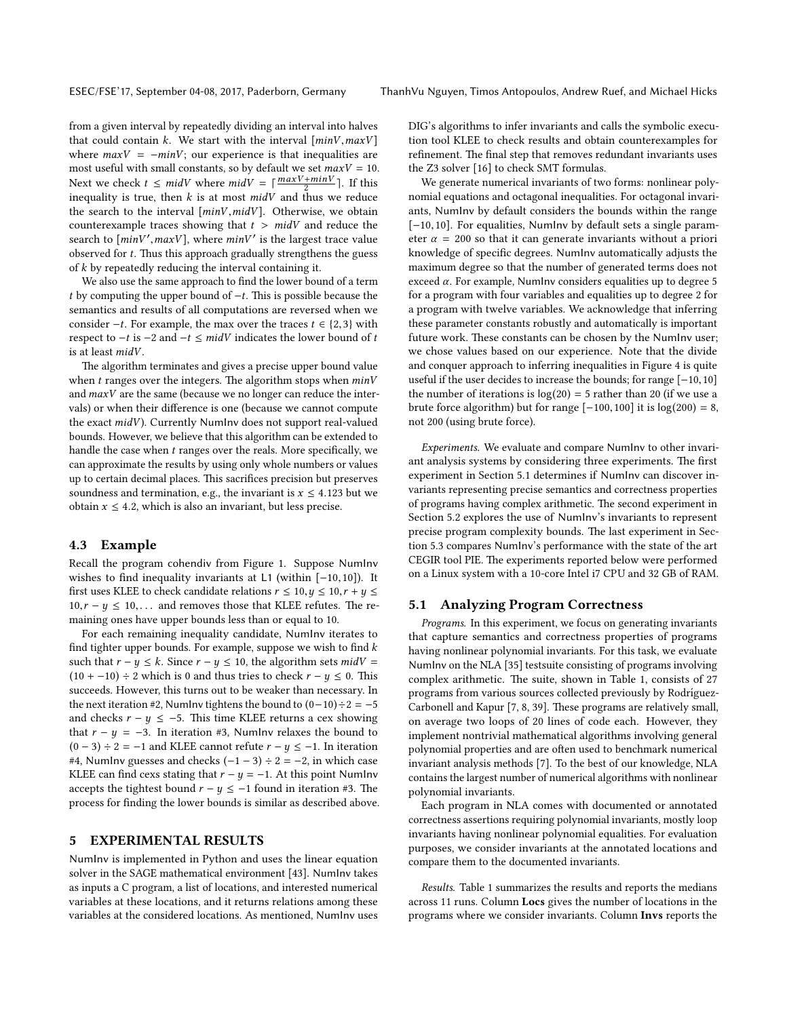from a given interval by repeatedly dividing an interval into halves that could contain  $k$ . We start with the interval  $[\min V, \max V]$ where  $maxV = -minV$ ; our experience is that inequalities are most useful with small constants, so by default we set  $maxV = 10$ . Next we check  $t \leq midV$  where  $midV = \lceil \frac{maxV + minV}{2} \rceil$ . If this inequality is true, then  $k$  is at most  $midV$  and thus we reduce the search to the interval  $[minV, midV]$ . Otherwise, we obtain counterexample traces showing that  $t > midV$  and reduce the search to  $[\min V', \max V]$ , where  $\min V'$  is the largest trace value<br>observed for t. Thus this approach gradually strangthens the guess observed for  $t$ . Thus this approach gradually strengthens the guess of k by repeatedly reducing the interval containing it.

We also use the same approach to find the lower bound of a term t by computing the upper bound of  $-t$ . This is possible because the semantics and results of all computations are reversed when we consider  $-t$ . For example, the max over the traces  $t \in \{2,3\}$  with respect to  $-t$  is  $-2$  and  $-t \leq midV$  indicates the lower bound of t is at least midV.

The algorithm terminates and gives a precise upper bound value when  $t$  ranges over the integers. The algorithm stops when  $minV$ and maxV are the same (because we no longer can reduce the intervals) or when their difference is one (because we cannot compute the exact  $midV$ ). Currently NumInv does not support real-valued bounds. However, we believe that this algorithm can be extended to handle the case when  $t$  ranges over the reals. More specifically, we can approximate the results by using only whole numbers or values up to certain decimal places. This sacrifices precision but preserves soundness and termination, e.g., the invariant is  $x \leq 4.123$  but we obtain  $x \leq 4.2$ , which is also an invariant, but less precise.

#### 4.3 Example

Recall the program cohendiv from Figure [1.](#page-1-0) Suppose NumInv wishes to find inequality invariants at L1 (within [−10,10]). It first uses KLEE to check candidate relations  $r \le 10, y \le 10, r + y \le 10$  $10, r - y \leq 10, \ldots$  and removes those that KLEE refutes. The remaining ones have upper bounds less than or equal to 10.

For each remaining inequality candidate, NumInv iterates to find tighter upper bounds. For example, suppose we wish to find  $k$ such that  $r - y \le k$ . Since  $r - y \le 10$ , the algorithm sets  $midV =$  $(10 + -10) \div 2$  which is 0 and thus tries to check  $r - y \le 0$ . This succeeds. However, this turns out to be weaker than necessary. In the next iteration #2, NumInv tightens the bound to  $(0-10) \div 2 = -5$ and checks  $r - y \le -5$ . This time KLEE returns a cex showing that  $r - y = -3$ . In iteration #3, Numlny relaxes the bound to  $(0 - 3) \div 2 = -1$  and KLEE cannot refute  $r - y \le -1$ . In iteration #4, NumInv guesses and checks  $(-1 - 3) \div 2 = -2$ , in which case KLEE can find cexs stating that  $r - y = -1$ . At this point NumInv accepts the tightest bound  $r - y \le -1$  found in iteration #3. The process for finding the lower bounds is similar as described above.

## <span id="page-5-0"></span>5 EXPERIMENTAL RESULTS

NumInv is implemented in Python and uses the linear equation solver in the SAGE mathematical environment [\[43\]](#page-10-29). NumInv takes as inputs a C program, a list of locations, and interested numerical variables at these locations, and it returns relations among these variables at the considered locations. As mentioned, NumInv uses DIG's algorithms to infer invariants and calls the symbolic execution tool KLEE to check results and obtain counterexamples for refinement. The final step that removes redundant invariants uses the Z3 solver [\[16\]](#page-10-3) to check SMT formulas.

We generate numerical invariants of two forms: nonlinear polynomial equations and octagonal inequalities. For octagonal invariants, NumInv by default considers the bounds within the range [−10,10]. For equalities, NumInv by default sets a single parameter  $\alpha$  = 200 so that it can generate invariants without a priori knowledge of specific degrees. NumInv automatically adjusts the maximum degree so that the number of generated terms does not exceed  $\alpha$ . For example, NumInv considers equalities up to degree 5 for a program with four variables and equalities up to degree 2 for a program with twelve variables. We acknowledge that inferring these parameter constants robustly and automatically is important future work. These constants can be chosen by the NumInv user; we chose values based on our experience. Note that the divide and conquer approach to inferring inequalities in Figure [4](#page-4-2) is quite useful if the user decides to increase the bounds; for range [−10,10] the number of iterations is  $log(20) = 5$  rather than 20 (if we use a brute force algorithm) but for range  $[-100, 100]$  it is  $log(200) = 8$ , not 200 (using brute force).

Experiments. We evaluate and compare NumInv to other invariant analysis systems by considering three experiments. The first experiment in Section [5.1](#page-5-1) determines if NumInv can discover invariants representing precise semantics and correctness properties of programs having complex arithmetic. The second experiment in Section [5.2](#page-6-1) explores the use of NumInv's invariants to represent precise program complexity bounds. The last experiment in Section [5.3](#page-7-0) compares NumInv's performance with the state of the art CEGIR tool PIE. The experiments reported below were performed on a Linux system with a 10-core Intel i7 CPU and 32 GB of RAM.

# <span id="page-5-1"></span>5.1 Analyzing Program Correctness

Programs. In this experiment, we focus on generating invariants that capture semantics and correctness properties of programs having nonlinear polynomial invariants. For this task, we evaluate NumInv on the NLA [\[35\]](#page-10-23) testsuite consisting of programs involving complex arithmetic. The suite, shown in Table [1,](#page-6-2) consists of 27 programs from various sources collected previously by Rodríguez-Carbonell and Kapur [\[7,](#page-10-30) [8,](#page-10-31) [39\]](#page-10-32). These programs are relatively small, on average two loops of 20 lines of code each. However, they implement nontrivial mathematical algorithms involving general polynomial properties and are often used to benchmark numerical invariant analysis methods [\[7\]](#page-10-30). To the best of our knowledge, NLA contains the largest number of numerical algorithms with nonlinear polynomial invariants.

Each program in NLA comes with documented or annotated correctness assertions requiring polynomial invariants, mostly loop invariants having nonlinear polynomial equalities. For evaluation purposes, we consider invariants at the annotated locations and compare them to the documented invariants.

Results. Table [1](#page-6-2) summarizes the results and reports the medians across 11 runs. Column Locs gives the number of locations in the programs where we consider invariants. Column Invs reports the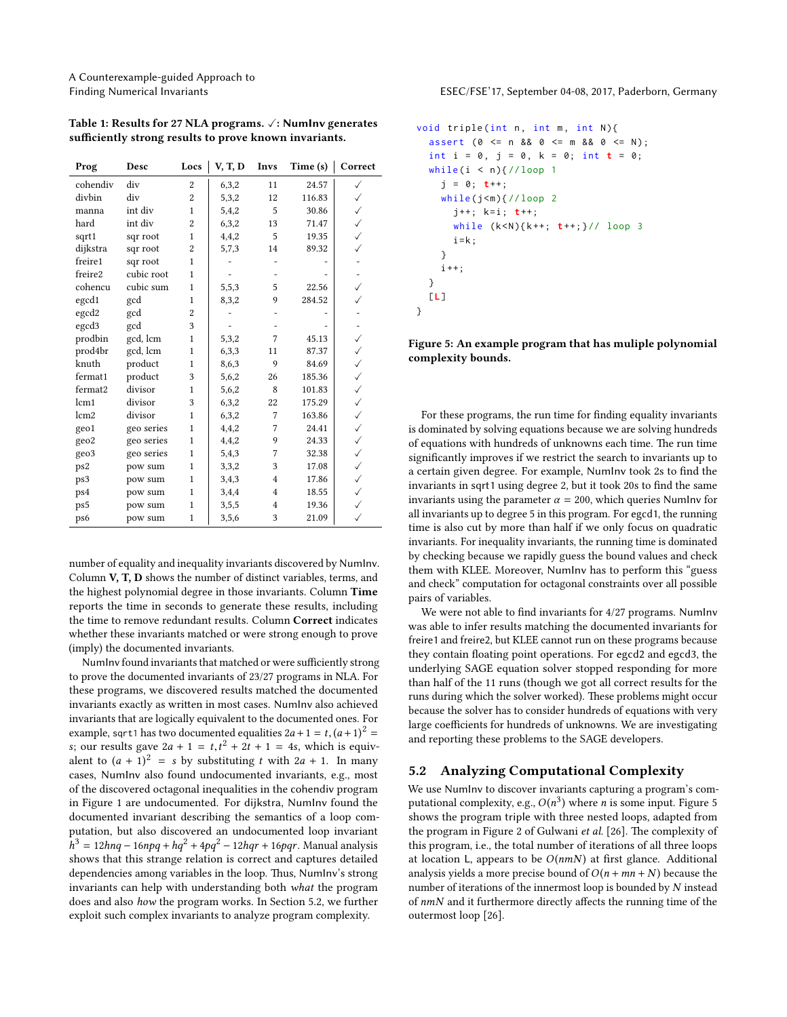| Prog             | Desc       | Locs           | V, T, D | Invs           | Time (s) | Correct      |
|------------------|------------|----------------|---------|----------------|----------|--------------|
| cohendiv         | div        | $\overline{c}$ | 6,3,2   | 11             | 24.57    | ✓            |
| divbin           | div        | $\overline{c}$ | 5,3,2   | 12             | 116.83   | ✓            |
| manna            | int div    | $\mathbf{1}$   | 5,4,2   | 5              | 30.86    | ✓            |
| hard             | int div    | $\overline{2}$ | 6,3,2   | 13             | 71.47    | $\checkmark$ |
| sqrt1            | sqr root   | 1              | 4,4,2   | 5              | 19.35    | ✓            |
| dijkstra         | sqr root   | $\overline{c}$ | 5,7,3   | 14             | 89.32    | ✓            |
| freire1          | sqr root   | $\mathbf{1}$   |         |                |          |              |
| freire2          | cubic root | 1              |         |                |          |              |
| cohencu          | cubic sum  | $\mathbf{1}$   | 5,5,3   | 5              | 22.56    | $\checkmark$ |
| egcd1            | gcd        | $\mathbf{1}$   | 8,3,2   | 9              | 284.52   | ✓            |
| egcd2            | gcd        | $\overline{c}$ |         |                |          |              |
| egcd3            | gcd        | 3              |         |                |          |              |
| prodbin          | gcd, lcm   | $\mathbf{1}$   | 5,3,2   | 7              | 45.13    | $\checkmark$ |
| prod4br          | gcd, lcm   | $\mathbf{1}$   | 6,3,3   | 11             | 87.37    | $\checkmark$ |
| knuth            | product    | $\mathbf{1}$   | 8,6,3   | 9              | 84.69    | $\checkmark$ |
| fermat1          | product    | 3              | 5,6,2   | 26             | 185.36   | $\checkmark$ |
| fermat2          | divisor    | 1              | 5,6,2   | 8              | 101.83   | ✓            |
| lcm1             | divisor    | 3              | 6,3,2   | 22             | 175.29   | $\checkmark$ |
| lcm <sub>2</sub> | divisor    | 1              | 6,3,2   | 7              | 163.86   | $\checkmark$ |
| geo1             | geo series | 1              | 4,4,2   | 7              | 24.41    | ✓            |
| geo2             | geo series | $\mathbf{1}$   | 4,4,2   | 9              | 24.33    | $\checkmark$ |
| geo3             | geo series | $\mathbf{1}$   | 5,4,3   | 7              | 32.38    | $\checkmark$ |
| ps2              | pow sum    | $\mathbf{1}$   | 3,3,2   | 3              | 17.08    | ✓            |
| ps3              | pow sum    | $\mathbf{1}$   | 3,4,3   | $\overline{4}$ | 17.86    | $\checkmark$ |
| ps4              | pow sum    | $\mathbf{1}$   | 3,4,4   | $\overline{4}$ | 18.55    | ✓            |
| ps5              | pow sum    | $\mathbf{1}$   | 3,5,5   | $\overline{4}$ | 19.36    | ✓            |
| ps6              | pow sum    | $\mathbf{1}$   | 3,5,6   | 3              | 21.09    | ✓            |

<span id="page-6-2"></span>Table 1: Results for 27 NLA programs.  $\sqrt{ }$ : NumInv generates sufficiently strong results to prove known invariants.

number of equality and inequality invariants discovered by NumInv. Column V, T, D shows the number of distinct variables, terms, and the highest polynomial degree in those invariants. Column Time reports the time in seconds to generate these results, including the time to remove redundant results. Column Correct indicates whether these invariants matched or were strong enough to prove (imply) the documented invariants.

NumInv found invariants that matched or were sufficiently strong to prove the documented invariants of 23/27 programs in NLA. For these programs, we discovered results matched the documented invariants exactly as written in most cases. NumInv also achieved invariants that are logically equivalent to the documented ones. For example, sqrt1 has two documented equalities  $2a + 1 = t$ ,  $(a+1)^2 =$ <br>s: our results gave  $2a + 1 = t$ ,  $t^2 + 2t + 1 = 4s$ , which is equivs; our results gave  $2a + 1 = t, t^2 + 2t + 1 = 4s$ , which is equiv-<br>alont to  $(a + 1)^2 = s$  by substituting t with  $2a + 1$ . In many alent to  $(a + 1)^2 = s$  by substituting t with  $2a + 1$ . In many cases, NumInv also found undocumented invariants, e.g., most of the discovered octagonal inequalities in the cohendiv program in Figure [1](#page-1-0) are undocumented. For dijkstra, NumInv found the documented invariant describing the semantics of a loop computation, but also discovered an undocumented loop invariant shows that this strange relation is correct and captures detailed  $h^3 = 12h nq - 16npq + hq^2 + 4pq^2 - 12hqr + 16pqr$ . Manual analysis dependencies among variables in the loop. Thus, NumInv's strong invariants can help with understanding both what the program does and also how the program works. In Section [5.2,](#page-6-1) we further exploit such complex invariants to analyze program complexity.

Finding Numerical Invariants ESEC/FSE'17, September 04-08, 2017, Paderborn, Germany

```
void triple (int n, int m, int N){
  assert (0 \le n \le 0 \le m \le 0 \le N);
  int i = 0, j = 0, k = 0; int t = 0;
 while (i < n) { // loop 1
    j = 0; t++;while(j<m){//loop 2
      j++; k=i; t++;while (k < N){k++; t++;}// loop 3
      i = k:
    }
    i + +:
 }
  [L]}
```
Figure 5: An example program that has muliple polynomial complexity bounds.

For these programs, the run time for finding equality invariants is dominated by solving equations because we are solving hundreds of equations with hundreds of unknowns each time. The run time significantly improves if we restrict the search to invariants up to a certain given degree. For example, NumInv took 2s to find the invariants in sqrt1 using degree 2, but it took 20s to find the same invariants using the parameter  $\alpha = 200$ , which queries NumInv for all invariants up to degree 5 in this program. For egcd1, the running time is also cut by more than half if we only focus on quadratic invariants. For inequality invariants, the running time is dominated by checking because we rapidly guess the bound values and check them with KLEE. Moreover, NumInv has to perform this "guess and check" computation for octagonal constraints over all possible pairs of variables.

We were not able to find invariants for 4/27 programs. NumInv was able to infer results matching the documented invariants for freire1 and freire2, but KLEE cannot run on these programs because they contain floating point operations. For egcd2 and egcd3, the underlying SAGE equation solver stopped responding for more than half of the 11 runs (though we got all correct results for the runs during which the solver worked). These problems might occur because the solver has to consider hundreds of equations with very large coefficients for hundreds of unknowns. We are investigating and reporting these problems to the SAGE developers.

# <span id="page-6-1"></span>5.2 Analyzing Computational Complexity

We use NumInv to discover invariants capturing a program's computational complexity, e.g.,  $O(n^3)$  where *n* is some input. Figure [5](#page-6-0)<br>shows the program triple with three nested loops, adapted from shows the program triple with three nested loops, adapted from the program in Figure 2 of Gulwani et al.  $[26]$ . The complexity of this program, i.e., the total number of iterations of all three loops at location L, appears to be  $O(nmN)$  at first glance. Additional analysis yields a more precise bound of  $O(n + mn + N)$  because the number of iterations of the innermost loop is bounded by N instead of  $nmN$  and it furthermore directly affects the running time of the outermost loop [\[26\]](#page-10-11).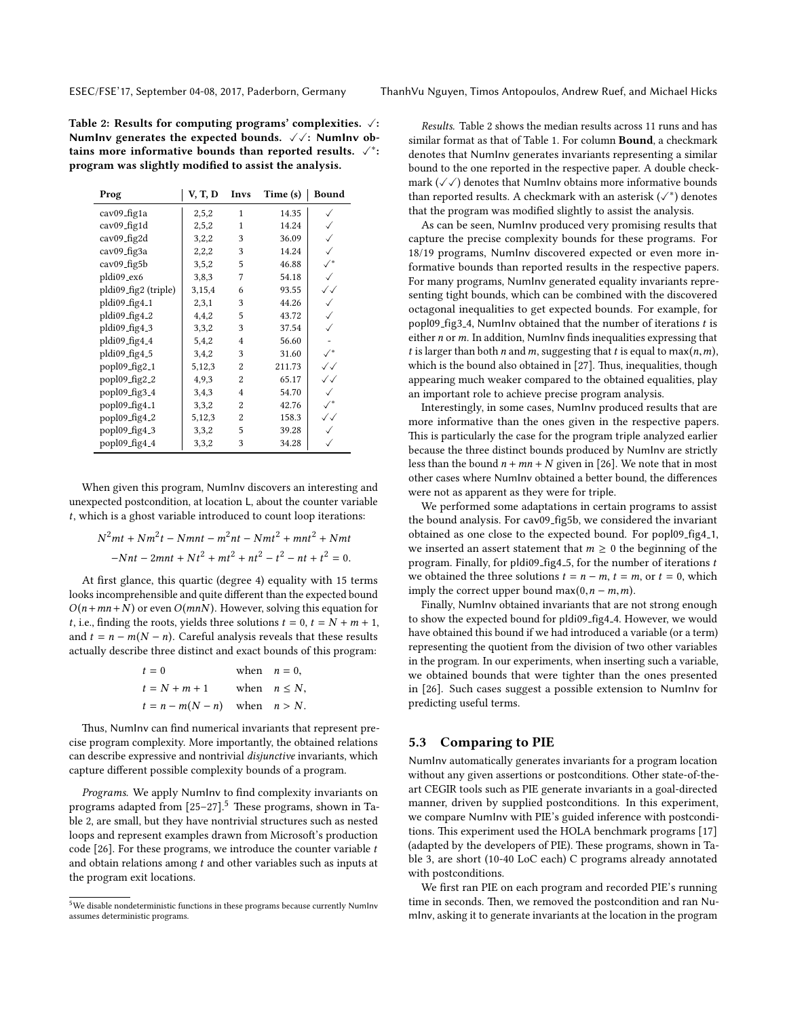<span id="page-7-2"></span>Table 2: Results for computing programs' complexities.  $\sqrt{\cdot}$ : NumInv generates the expected bounds.  $\sqrt{\sqrt{}}$ : NumInv obtains more informative bounds than reported results.  $\checkmark$ <sup>\*</sup>: program was slightly modified to assist the analysis.

| Prog                 | V, T, D | Invs           | Time (s) | Bound          |
|----------------------|---------|----------------|----------|----------------|
| cav09_fig1a          | 2,5,2   | 1              | 14.35    |                |
| cav09_fig1d          | 2,5,2   | 1              | 14.24    |                |
| cav09_fig2d          | 3,2,2   | 3              | 36.09    |                |
| cav09_fig3a          | 2,2,2   | 3              | 14.24    |                |
| cav09_fig5b          | 3,5,2   | 5              | 46.88    |                |
| pldi09_ex6           | 3,8,3   | 7              | 54.18    |                |
| pldi09_fig2 (triple) | 3,15,4  | 6              | 93.55    | $\checkmark$   |
| pldi09_fig4_1        | 2,3,1   | 3              | 44.26    |                |
| pldi09_fig4_2        | 4,4,2   | 5              | 43.72    |                |
| pldi09_fig4_3        | 3,3,2   | 3              | 37.54    |                |
| pldi09_fig4_4        | 5,4,2   | $\overline{4}$ | 56.60    |                |
| pldi09_fig4_5        | 3,4,2   | 3              | 31.60    | $\checkmark^*$ |
| popl09_fig2_1        | 5,12,3  | 2              | 211.73   | $\checkmark$   |
| popl09_fig2_2        | 4,9,3   | 2              | 65.17    | ✓✓             |
| popl09_fig3_4        | 3,4,3   | 4              | 54.70    |                |
| popl09_fig4_1        | 3,3,2   | 2              | 42.76    | $\checkmark^*$ |
| popl09_fig4_2        | 5,12,3  | 2              | 158.3    | √√             |
| popl09_fig4_3        | 3,3,2   | 5              | 39.28    |                |
| popl09_fig4_4        | 3,3,2   | 3              | 34.28    |                |

When given this program, NumInv discovers an interesting and unexpected postcondition, at location L, about the counter variable t, which is a ghost variable introduced to count loop iterations:

$$
N^{2}mt + Nm^{2}t - Nmnt - m^{2}nt - Nmt^{2} + mnt^{2} + Nmt
$$

$$
-Nnt - 2mnt + Nt^{2} + mt^{2} + nt^{2} - t^{2} - nt + t^{2} = 0.
$$

At first glance, this quartic (degree 4) equality with 15 terms looks incomprehensible and quite different than the expected bound  $O(n + mn + N)$  or even  $O(mnN)$ . However, solving this equation for *t*, i.e., finding the roots, yields three solutions  $t = 0$ ,  $t = N + m + 1$ , and  $t = n - m(N - n)$ . Careful analysis reveals that these results actually describe three distinct and exact bounds of this program:

| $t=0$                             | when $n = 0$ .    |
|-----------------------------------|-------------------|
| $t = N + m + 1$                   | when $n \leq N$ , |
| $t = n - m(N - n)$ when $n > N$ . |                   |
|                                   |                   |

Thus, NumInv can find numerical invariants that represent precise program complexity. More importantly, the obtained relations can describe expressive and nontrivial disjunctive invariants, which capture different possible complexity bounds of a program.

Programs. We apply NumInv to find complexity invariants on programs adapted from  $[25-27]$  $[25-27]$ <sup>[5](#page-7-1)</sup> These programs, shown in Table [2,](#page-7-2) are small, but they have nontrivial structures such as nested loops and represent examples drawn from Microsoft's production code [\[26\]](#page-10-11). For these programs, we introduce the counter variable  $t$ and obtain relations among t and other variables such as inputs at the program exit locations.

Results. Table [2](#page-7-2) shows the median results across 11 runs and has similar format as that of Table [1.](#page-6-2) For column **Bound**, a checkmark denotes that NumInv generates invariants representing a similar bound to the one reported in the respective paper. A double checkmark  $(\sqrt{\sqrt{}})$  denotes that NumInv obtains more informative bounds than reported results. A checkmark with an asterisk  $(\checkmark^*)$  denotes that the program was modified slightly to assist the analysis.

As can be seen, NumInv produced very promising results that capture the precise complexity bounds for these programs. For 18/19 programs, NumInv discovered expected or even more informative bounds than reported results in the respective papers. For many programs, NumInv generated equality invariants representing tight bounds, which can be combined with the discovered octagonal inequalities to get expected bounds. For example, for popl09\_fig3\_4, NumInv obtained that the number of iterations  $t$  is either  $n$  or  $m$ . In addition, NumInv finds inequalities expressing that t is larger than both n and m, suggesting that t is equal to max $(n, m)$ , which is the bound also obtained in  $[27]$ . Thus, inequalities, though appearing much weaker compared to the obtained equalities, play an important role to achieve precise program analysis.

Interestingly, in some cases, NumInv produced results that are more informative than the ones given in the respective papers. This is particularly the case for the program triple analyzed earlier because the three distinct bounds produced by NumInv are strictly less than the bound  $n + mn + N$  given in [\[26\]](#page-10-11). We note that in most other cases where NumInv obtained a better bound, the differences were not as apparent as they were for triple.

We performed some adaptations in certain programs to assist the bound analysis. For cav09<sub>-</sub>fig5b, we considered the invariant obtained as one close to the expected bound. For popl09\_fig4\_1, we inserted an assert statement that  $m \geq 0$  the beginning of the program. Finally, for pldi09\_fig4\_5, for the number of iterations  $t$ we obtained the three solutions  $t = n - m$ ,  $t = m$ , or  $t = 0$ , which imply the correct upper bound max $(0, n - m, m)$ .

Finally, NumInv obtained invariants that are not strong enough to show the expected bound for pldi09\_fig4\_4. However, we would have obtained this bound if we had introduced a variable (or a term) representing the quotient from the division of two other variables in the program. In our experiments, when inserting such a variable, we obtained bounds that were tighter than the ones presented in [\[26\]](#page-10-11). Such cases suggest a possible extension to NumInv for predicting useful terms.

## <span id="page-7-0"></span>5.3 Comparing to PIE

NumInv automatically generates invariants for a program location without any given assertions or postconditions. Other state-of-theart CEGIR tools such as PIE generate invariants in a goal-directed manner, driven by supplied postconditions. In this experiment, we compare NumInv with PIE's guided inference with postcondi-tions. This experiment used the HOLA benchmark programs [\[17\]](#page-10-25) (adapted by the developers of PIE). These programs, shown in Table [3,](#page-8-0) are short (10-40 LoC each) C programs already annotated with postconditions.

We first ran PIE on each program and recorded PIE's running time in seconds. Then, we removed the postcondition and ran NumInv, asking it to generate invariants at the location in the program

<span id="page-7-1"></span> $^{5}\rm{We}$  disable nondeterministic functions in these programs because currently NumInv assumes deterministic programs.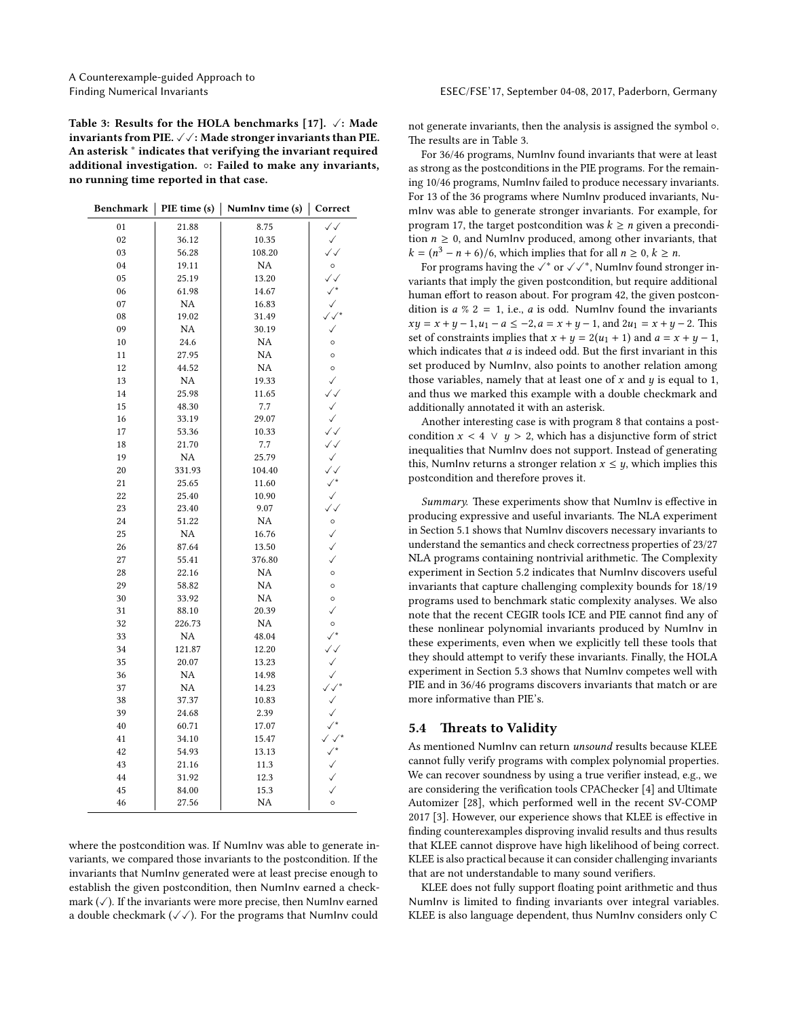<span id="page-8-0"></span>Table 3: Results for the HOLA benchmarks [\[17\]](#page-10-25).  $\sqrt{ }$ : Made invariants from PIE.  $\sqrt{\sqrt{}}$ : Made stronger invariants than PIE. An asterisk <sup>∗</sup> indicates that verifying the invariant required additional investigation. ◦: Failed to make any invariants, no running time reported in that case.

|  |  | Benchmark   PIE time (s)   Numlnv time (s)   Correct |  |
|--|--|------------------------------------------------------|--|
|--|--|------------------------------------------------------|--|

| 01 | 21.88     | 8.75      | $\checkmark$             |
|----|-----------|-----------|--------------------------|
| 02 | 36.12     | 10.35     | $\checkmark$             |
| 03 | 56.28     | 108.20    | $\checkmark$             |
| 04 | 19.11     | NA        | $\circ$                  |
| 05 | 25.19     | 13.20     | $\checkmark$             |
| 06 | 61.98     | 14.67     | $\checkmark^*$           |
| 07 | NA        | 16.83     | $\checkmark$             |
| 08 | 19.02     | 31.49     | $\checkmark\checkmark^*$ |
| 09 | NA        | 30.19     | $\checkmark$             |
| 10 | 24.6      | <b>NA</b> | $\circ$                  |
| 11 | 27.95     | NA        | $\circ$                  |
| 12 | 44.52     | NA        | $\circ$                  |
| 13 | NA        | 19.33     | ✓                        |
| 14 | 25.98     | 11.65     | $\checkmark$             |
| 15 | 48.30     | 7.7       | $\checkmark$             |
| 16 | 33.19     | 29.07     | $\checkmark$             |
| 17 | 53.36     | 10.33     | $\checkmark$             |
| 18 | 21.70     | 7.7       | $\checkmark$             |
| 19 | <b>NA</b> | 25.79     | $\checkmark$             |
| 20 | 331.93    | 104.40    | $\checkmark$             |
| 21 | 25.65     | 11.60     | $\checkmark^*$           |
| 22 | 25.40     | 10.90     | $\checkmark$             |
| 23 | 23.40     | 9.07      | $\checkmark$             |
| 24 | 51.22     | NA        | $\circ$                  |
| 25 | NA        | 16.76     | $\checkmark$             |
| 26 | 87.64     | 13.50     | $\checkmark$             |
| 27 | 55.41     | 376.80    | ✓                        |
| 28 | 22.16     | NA        | $\circ$                  |
| 29 | 58.82     | <b>NA</b> | $\circ$                  |
| 30 | 33.92     | NA        | $\circ$                  |
| 31 | 88.10     | 20.39     | $\checkmark$             |
| 32 | 226.73    | NA        | $\circ$                  |
| 33 | NA        | 48.04     | $\checkmark^*$           |
| 34 | 121.87    | 12.20     | $\checkmark$             |
| 35 | 20.07     | 13.23     | ✓                        |
| 36 | NA        | 14.98     | $\checkmark$             |
| 37 | NA        | 14.23     | $\checkmark\checkmark^*$ |
| 38 | 37.37     | 10.83     | $\checkmark$             |
| 39 | 24.68     | 2.39      | $\checkmark$             |
| 40 | 60.71     | 17.07     | $\checkmark^*$           |
| 41 | 34.10     | 15.47     | $\checkmark$             |
| 42 | 54.93     | 13.13     | $\checkmark^*$           |
| 43 | 21.16     | 11.3      | $\checkmark$             |
| 44 | 31.92     | 12.3      |                          |
| 45 | 84.00     | 15.3      | $\checkmark$             |
| 46 | 27.56     | <b>NA</b> | $\circ$                  |
|    |           |           |                          |

where the postcondition was. If NumInv was able to generate invariants, we compared those invariants to the postcondition. If the invariants that NumInv generated were at least precise enough to establish the given postcondition, then NumInv earned a checkmark  $(\checkmark)$ . If the invariants were more precise, then NumInv earned a double checkmark  $(\sqrt{\sqrt{}})$ . For the programs that NumInv could

not generate invariants, then the analysis is assigned the symbol ◦. The results are in Table [3.](#page-8-0)

For 36/46 programs, NumInv found invariants that were at least as strong as the postconditions in the PIE programs. For the remaining 10/46 programs, NumInv failed to produce necessary invariants. For 13 of the 36 programs where NumInv produced invariants, NumInv was able to generate stronger invariants. For example, for program 17, the target postcondition was  $k \geq n$  given a precondition  $n \geq 0$ , and NumInv produced, among other invariants, that  $k = (n^3 - n + 6)/6$ , which implies that for all  $n \ge 0$ ,  $k \ge n$ .<br>For programs having the  $\ell^*$  or  $\ell^*$ . Numlay found stre

For programs having the  $\tilde{\checkmark^*}$  or  $\checkmark\checkmark^*,$  NumInv found stronger invariants that imply the given postcondition, but require additional human effort to reason about. For program 42, the given postcondition is  $a \%$  2 = 1, i.e.,  $a$  is odd. NumInv found the invariants  $xy = x + y - 1, u_1 - a \le -2, a = x + y - 1, \text{ and } 2u_1 = x + y - 2. \text{ This}$ set of constraints implies that  $x + y = 2(u_1 + 1)$  and  $a = x + y - 1$ , which indicates that  $a$  is indeed odd. But the first invariant in this set produced by NumInv, also points to another relation among those variables, namely that at least one of  $x$  and  $y$  is equal to 1, and thus we marked this example with a double checkmark and additionally annotated it with an asterisk.

Another interesting case is with program 8 that contains a postcondition  $x < 4 \vee y > 2$ , which has a disjunctive form of strict inequalities that NumInv does not support. Instead of generating this, NumInv returns a stronger relation  $x \leq y$ , which implies this postcondition and therefore proves it.

Summary. These experiments show that NumInv is effective in producing expressive and useful invariants. The NLA experiment in Section [5.1](#page-5-1) shows that NumInv discovers necessary invariants to understand the semantics and check correctness properties of 23/27 NLA programs containing nontrivial arithmetic. The Complexity experiment in Section [5.2](#page-6-1) indicates that NumInv discovers useful invariants that capture challenging complexity bounds for 18/19 programs used to benchmark static complexity analyses. We also note that the recent CEGIR tools ICE and PIE cannot find any of these nonlinear polynomial invariants produced by NumInv in these experiments, even when we explicitly tell these tools that they should attempt to verify these invariants. Finally, the HOLA experiment in Section [5.3](#page-7-0) shows that NumInv competes well with PIE and in 36/46 programs discovers invariants that match or are more informative than PIE's.

#### 5.4 Threats to Validity

As mentioned NumInv can return unsound results because KLEE cannot fully verify programs with complex polynomial properties. We can recover soundness by using a true verifier instead, e.g., we are considering the verification tools CPAChecker [\[4\]](#page-10-33) and Ultimate Automizer [\[28\]](#page-10-34), which performed well in the recent SV-COMP 2017 [\[3\]](#page-10-35). However, our experience shows that KLEE is effective in finding counterexamples disproving invalid results and thus results that KLEE cannot disprove have high likelihood of being correct. KLEE is also practical because it can consider challenging invariants that are not understandable to many sound verifiers.

KLEE does not fully support floating point arithmetic and thus NumInv is limited to finding invariants over integral variables. KLEE is also language dependent, thus NumInv considers only C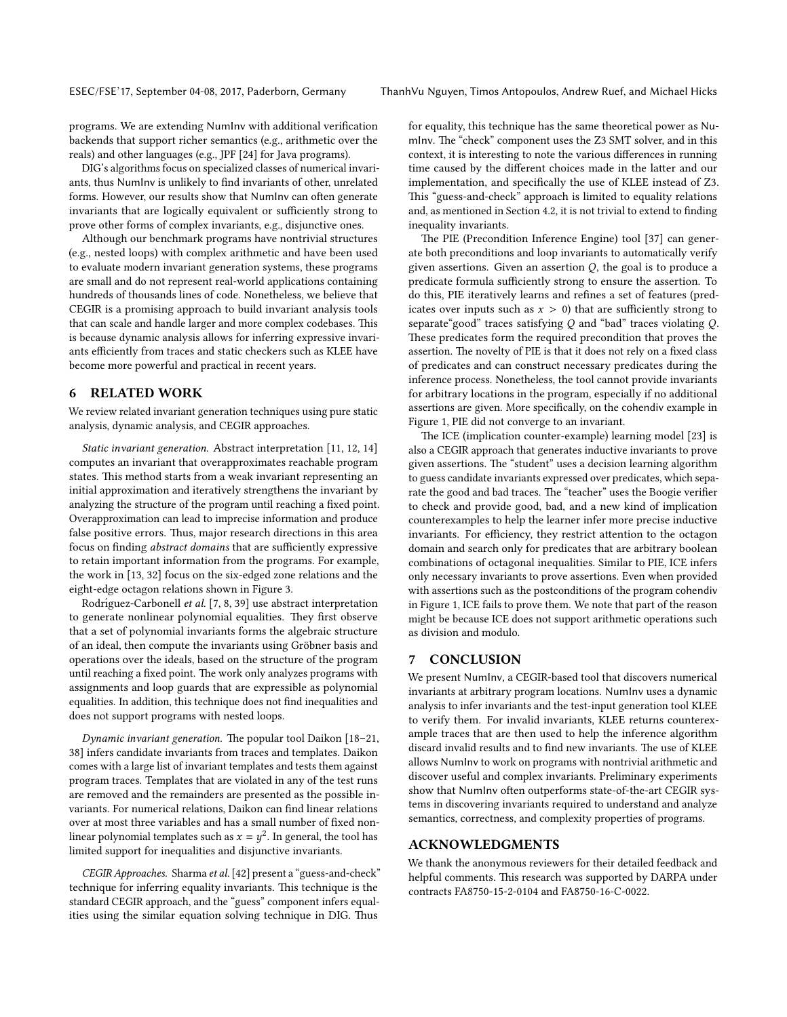programs. We are extending NumInv with additional verification backends that support richer semantics (e.g., arithmetic over the reals) and other languages (e.g., JPF [\[24\]](#page-10-36) for Java programs).

DIG's algorithms focus on specialized classes of numerical invariants, thus NumInv is unlikely to find invariants of other, unrelated forms. However, our results show that NumInv can often generate invariants that are logically equivalent or sufficiently strong to prove other forms of complex invariants, e.g., disjunctive ones.

Although our benchmark programs have nontrivial structures (e.g., nested loops) with complex arithmetic and have been used to evaluate modern invariant generation systems, these programs are small and do not represent real-world applications containing hundreds of thousands lines of code. Nonetheless, we believe that CEGIR is a promising approach to build invariant analysis tools that can scale and handle larger and more complex codebases. This is because dynamic analysis allows for inferring expressive invariants efficiently from traces and static checkers such as KLEE have become more powerful and practical in recent years.

## <span id="page-9-0"></span>6 RELATED WORK

We review related invariant generation techniques using pure static analysis, dynamic analysis, and CEGIR approaches.

Static invariant generation. Abstract interpretation [\[11,](#page-10-37) [12,](#page-10-38) [14\]](#page-10-39) computes an invariant that overapproximates reachable program states. This method starts from a weak invariant representing an initial approximation and iteratively strengthens the invariant by analyzing the structure of the program until reaching a fixed point. Overapproximation can lead to imprecise information and produce false positive errors. Thus, major research directions in this area focus on finding abstract domains that are sufficiently expressive to retain important information from the programs. For example, the work in [\[13,](#page-10-8) [32\]](#page-10-28) focus on the six-edged zone relations and the eight-edge octagon relations shown in Figure [3.](#page-4-1)

Rodríguez-Carbonell et al. [\[7,](#page-10-30) [8,](#page-10-31) [39\]](#page-10-32) use abstract interpretation to generate nonlinear polynomial equalities. They first observe that a set of polynomial invariants forms the algebraic structure of an ideal, then compute the invariants using Gröbner basis and operations over the ideals, based on the structure of the program until reaching a fixed point. The work only analyzes programs with assignments and loop guards that are expressible as polynomial equalities. In addition, this technique does not find inequalities and does not support programs with nested loops.

Dynamic invariant generation. The popular tool Daikon  $[18-21,$  $[18-21,$ [38\]](#page-10-41) infers candidate invariants from traces and templates. Daikon comes with a large list of invariant templates and tests them against program traces. Templates that are violated in any of the test runs are removed and the remainders are presented as the possible invariants. For numerical relations, Daikon can find linear relations over at most three variables and has a small number of fixed nonlinear polynomial templates such as  $x = y^2$ . In general, the tool has<br>limited support for inequalities and disjunctive invariants limited support for inequalities and disjunctive invariants.

CEGIR Approaches. Sharma et al. [\[42\]](#page-10-21) present a "guess-and-check" technique for inferring equality invariants. This technique is the standard CEGIR approach, and the "guess" component infers equalities using the similar equation solving technique in DIG. Thus

for equality, this technique has the same theoretical power as NumInv. The "check" component uses the Z3 SMT solver, and in this context, it is interesting to note the various differences in running time caused by the different choices made in the latter and our implementation, and specifically the use of KLEE instead of Z3. This "guess-and-check" approach is limited to equality relations and, as mentioned in Section [4.2,](#page-4-3) it is not trivial to extend to finding inequality invariants.

The PIE (Precondition Inference Engine) tool [\[37\]](#page-10-19) can generate both preconditions and loop invariants to automatically verify given assertions. Given an assertion  $Q$ , the goal is to produce a predicate formula sufficiently strong to ensure the assertion. To do this, PIE iteratively learns and refines a set of features (predicates over inputs such as  $x > 0$ ) that are sufficiently strong to separate"good" traces satisfying Q and "bad" traces violating Q. These predicates form the required precondition that proves the assertion. The novelty of PIE is that it does not rely on a fixed class of predicates and can construct necessary predicates during the inference process. Nonetheless, the tool cannot provide invariants for arbitrary locations in the program, especially if no additional assertions are given. More specifically, on the cohendiv example in Figure [1,](#page-1-0) PIE did not converge to an invariant.

The ICE (implication counter-example) learning model [\[23\]](#page-10-20) is also a CEGIR approach that generates inductive invariants to prove given assertions. The "student" uses a decision learning algorithm to guess candidate invariants expressed over predicates, which separate the good and bad traces. The "teacher" uses the Boogie verifier to check and provide good, bad, and a new kind of implication counterexamples to help the learner infer more precise inductive invariants. For efficiency, they restrict attention to the octagon domain and search only for predicates that are arbitrary boolean combinations of octagonal inequalities. Similar to PIE, ICE infers only necessary invariants to prove assertions. Even when provided with assertions such as the postconditions of the program cohendiv in Figure [1,](#page-1-0) ICE fails to prove them. We note that part of the reason might be because ICE does not support arithmetic operations such as division and modulo.

#### 7 CONCLUSION

We present NumInv, a CEGIR-based tool that discovers numerical invariants at arbitrary program locations. NumInv uses a dynamic analysis to infer invariants and the test-input generation tool KLEE to verify them. For invalid invariants, KLEE returns counterexample traces that are then used to help the inference algorithm discard invalid results and to find new invariants. The use of KLEE allows NumInv to work on programs with nontrivial arithmetic and discover useful and complex invariants. Preliminary experiments show that NumInv often outperforms state-of-the-art CEGIR systems in discovering invariants required to understand and analyze semantics, correctness, and complexity properties of programs.

# ACKNOWLEDGMENTS

We thank the anonymous reviewers for their detailed feedback and helpful comments. This research was supported by DARPA under contracts FA8750-15-2-0104 and FA8750-16-C-0022.